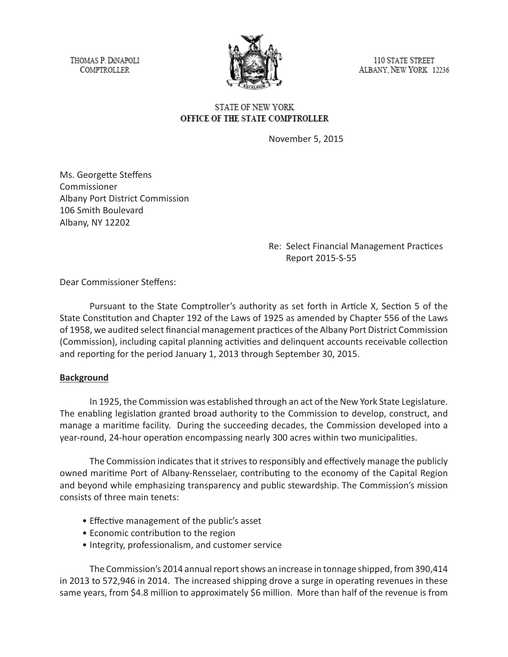THOMAS P. DINAPOLI **COMPTROLLER** 



**110 STATE STREET** ALBANY, NEW YORK 12236

# **STATE OF NEW YORK** OFFICE OF THE STATE COMPTROLLER

November 5, 2015

Ms. Georgette Steffens Commissioner Albany Port District Commission 106 Smith Boulevard Albany, NY 12202

> Re: Select Financial Management Practices Report 2015-S-55

Dear Commissioner Steffens:

Pursuant to the State Comptroller's authority as set forth in Article X, Section 5 of the State Constitution and Chapter 192 of the Laws of 1925 as amended by Chapter 556 of the Laws of 1958, we audited select financial management practices of the Albany Port District Commission (Commission), including capital planning activities and delinquent accounts receivable collection and reporting for the period January 1, 2013 through September 30, 2015.

### **Background**

In 1925, the Commission was established through an act of the New York State Legislature. The enabling legislation granted broad authority to the Commission to develop, construct, and manage a maritime facility. During the succeeding decades, the Commission developed into a year-round, 24-hour operation encompassing nearly 300 acres within two municipalities.

The Commission indicates that it strives to responsibly and effectively manage the publicly owned maritime Port of Albany-Rensselaer, contributing to the economy of the Capital Region and beyond while emphasizing transparency and public stewardship. The Commission's mission consists of three main tenets:

- Effective management of the public's asset
- Economic contribution to the region
- Integrity, professionalism, and customer service

The Commission's 2014 annual report shows an increase in tonnage shipped, from 390,414 in 2013 to 572,946 in 2014. The increased shipping drove a surge in operating revenues in these same years, from \$4.8 million to approximately \$6 million. More than half of the revenue is from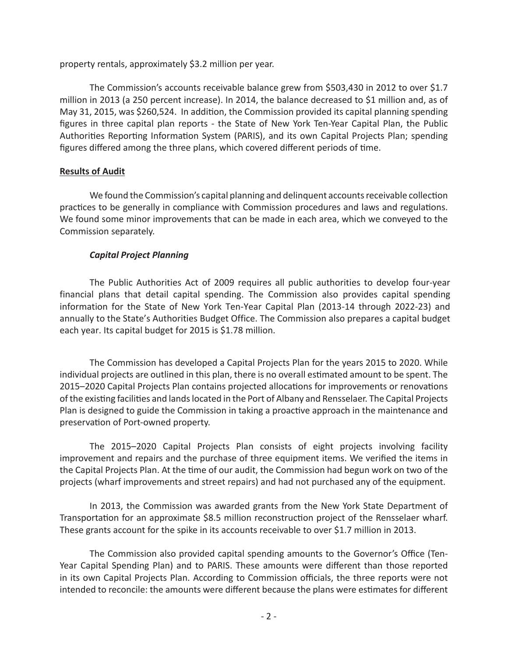property rentals, approximately \$3.2 million per year.

The Commission's accounts receivable balance grew from \$503,430 in 2012 to over \$1.7 million in 2013 (a 250 percent increase). In 2014, the balance decreased to \$1 million and, as of May 31, 2015, was \$260,524. In addition, the Commission provided its capital planning spending figures in three capital plan reports - the State of New York Ten-Year Capital Plan, the Public Authorities Reporting Information System (PARIS), and its own Capital Projects Plan; spending figures differed among the three plans, which covered different periods of time.

## **Results of Audit**

We found the Commission's capital planning and delinquent accounts receivable collection practices to be generally in compliance with Commission procedures and laws and regulations. We found some minor improvements that can be made in each area, which we conveyed to the Commission separately.

# *Capital Project Planning*

The Public Authorities Act of 2009 requires all public authorities to develop four-year financial plans that detail capital spending. The Commission also provides capital spending information for the State of New York Ten-Year Capital Plan (2013-14 through 2022-23) and annually to the State's Authorities Budget Office. The Commission also prepares a capital budget each year. Its capital budget for 2015 is \$1.78 million.

The Commission has developed a Capital Projects Plan for the years 2015 to 2020. While individual projects are outlined in this plan, there is no overall estimated amount to be spent. The 2015–2020 Capital Projects Plan contains projected allocations for improvements or renovations of the existing facilities and lands located in the Port of Albany and Rensselaer. The Capital Projects Plan is designed to guide the Commission in taking a proactive approach in the maintenance and preservation of Port-owned property.

The 2015–2020 Capital Projects Plan consists of eight projects involving facility improvement and repairs and the purchase of three equipment items. We verified the items in the Capital Projects Plan. At the time of our audit, the Commission had begun work on two of the projects (wharf improvements and street repairs) and had not purchased any of the equipment.

In 2013, the Commission was awarded grants from the New York State Department of Transportation for an approximate \$8.5 million reconstruction project of the Rensselaer wharf. These grants account for the spike in its accounts receivable to over \$1.7 million in 2013.

The Commission also provided capital spending amounts to the Governor's Office (Ten-Year Capital Spending Plan) and to PARIS. These amounts were different than those reported in its own Capital Projects Plan. According to Commission officials, the three reports were not intended to reconcile: the amounts were different because the plans were estimates for different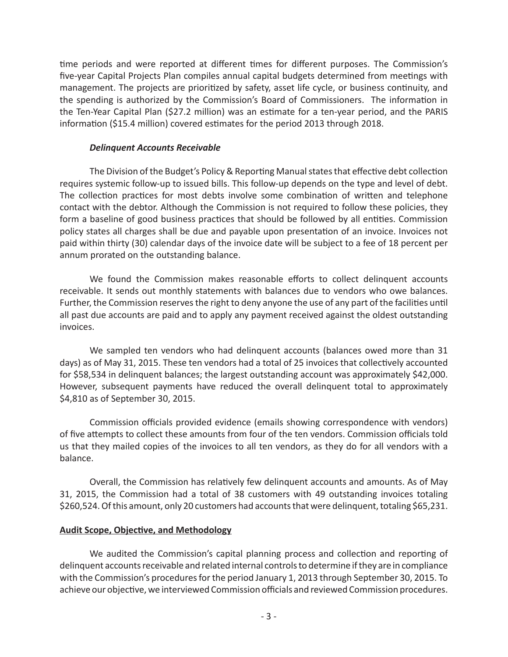time periods and were reported at different times for different purposes. The Commission's five-year Capital Projects Plan compiles annual capital budgets determined from meetings with management. The projects are prioritized by safety, asset life cycle, or business continuity, and the spending is authorized by the Commission's Board of Commissioners. The information in the Ten-Year Capital Plan (\$27.2 million) was an estimate for a ten-year period, and the PARIS information (\$15.4 million) covered estimates for the period 2013 through 2018.

### *Delinquent Accounts Receivable*

The Division of the Budget's Policy & Reporting Manual states that effective debt collection requires systemic follow-up to issued bills. This follow-up depends on the type and level of debt. The collection practices for most debts involve some combination of written and telephone contact with the debtor. Although the Commission is not required to follow these policies, they form a baseline of good business practices that should be followed by all entities. Commission policy states all charges shall be due and payable upon presentation of an invoice. Invoices not paid within thirty (30) calendar days of the invoice date will be subject to a fee of 18 percent per annum prorated on the outstanding balance.

We found the Commission makes reasonable efforts to collect delinquent accounts receivable. It sends out monthly statements with balances due to vendors who owe balances. Further, the Commission reserves the right to deny anyone the use of any part of the facilities until all past due accounts are paid and to apply any payment received against the oldest outstanding invoices.

We sampled ten vendors who had delinquent accounts (balances owed more than 31 days) as of May 31, 2015. These ten vendors had a total of 25 invoices that collectively accounted for \$58,534 in delinquent balances; the largest outstanding account was approximately \$42,000. However, subsequent payments have reduced the overall delinquent total to approximately \$4,810 as of September 30, 2015.

Commission officials provided evidence (emails showing correspondence with vendors) of five attempts to collect these amounts from four of the ten vendors. Commission officials told us that they mailed copies of the invoices to all ten vendors, as they do for all vendors with a balance.

Overall, the Commission has relatively few delinquent accounts and amounts. As of May 31, 2015, the Commission had a total of 38 customers with 49 outstanding invoices totaling \$260,524. Of this amount, only 20 customers had accounts that were delinquent, totaling \$65,231.

### **Audit Scope, Objective, and Methodology**

We audited the Commission's capital planning process and collection and reporting of delinquent accounts receivable and related internal controls to determine if they are in compliance with the Commission's procedures for the period January 1, 2013 through September 30, 2015. To achieve our objective, we interviewed Commission officials and reviewed Commission procedures.